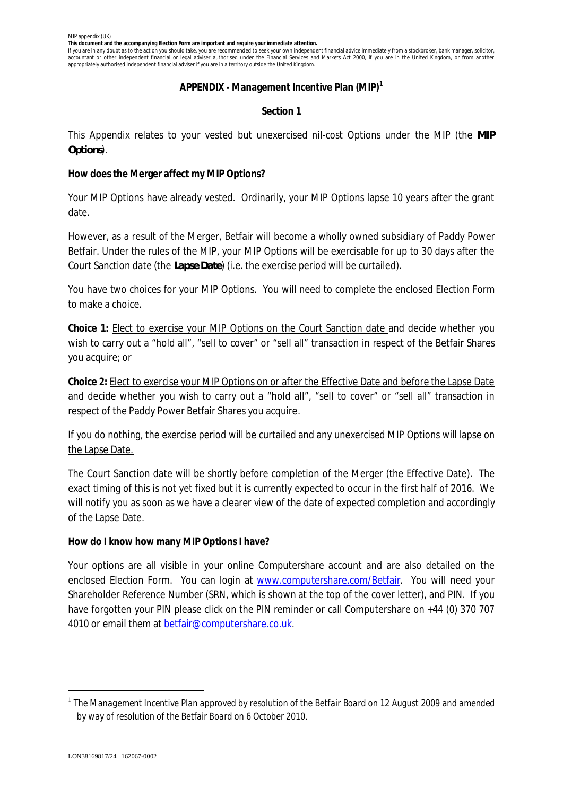**This document and the accompanying Election Form are important and require your immediate attention.**

If you are in any doubt as to the action you should take, you are recommended to seek your own independent financial advice immediately from a stockbroker, bank manager, solicitor, accountant or other independent financial or legal adviser authorised under the Financial Services and Markets Act 2000, if you are in the United Kingdom, or from another appropriately authorised independent financial adviser if you are in a territory outside the United Kingdom.

### **APPENDIX - Management Incentive Plan (MIP)<sup>1</sup>**

## **Section 1**

This Appendix relates to your vested but unexercised nil-cost Options under the MIP (the *MIP Options*).

**How does the Merger affect my MIP Options?**

Your MIP Options have already vested. Ordinarily, your MIP Options lapse 10 years after the grant date.

However, as a result of the Merger, Betfair will become a wholly owned subsidiary of Paddy Power Betfair. Under the rules of the MIP, your MIP Options will be exercisable for up to 30 days after the Court Sanction date (the *Lapse Date*) (i.e. the exercise period will be curtailed).

You have two choices for your MIP Options. You will need to complete the enclosed Election Form to make a choice.

**Choice 1:** Elect to exercise your MIP Options on the Court Sanction date and decide whether you wish to carry out a "hold all", "sell to cover" or "sell all" transaction in respect of the Betfair Shares you acquire; or

**Choice 2:** Elect to exercise your MIP Options on or after the Effective Date and before the Lapse Date and decide whether you wish to carry out a "hold all", "sell to cover" or "sell all" transaction in respect of the Paddy Power Betfair Shares you acquire.

If you do nothing, the exercise period will be curtailed and any unexercised MIP Options will lapse on the Lapse Date.

The Court Sanction date will be shortly before completion of the Merger (the Effective Date). The exact timing of this is not yet fixed but it is currently expected to occur in the first half of 2016. We will notify you as soon as we have a clearer view of the date of expected completion and accordingly of the Lapse Date.

**How do I know how many MIP Options I have?**

Your options are all visible in your online Computershare account and are also detailed on the enclosed Election Form. You can login at www.computershare.com/Betfair. You will need your Shareholder Reference Number (SRN, which is shown at the top of the cover letter), and PIN. If you have forgotten your PIN please click on the PIN reminder or call Computershare on +44 (0) 370 707 4010 or email them at betfair@computershare.co.uk.

<sup>1</sup> *The Management Incentive Plan approved by resolution of the Betfair Board on 12 August 2009 and amended by way of resolution of the Betfair Board on 6 October 2010.*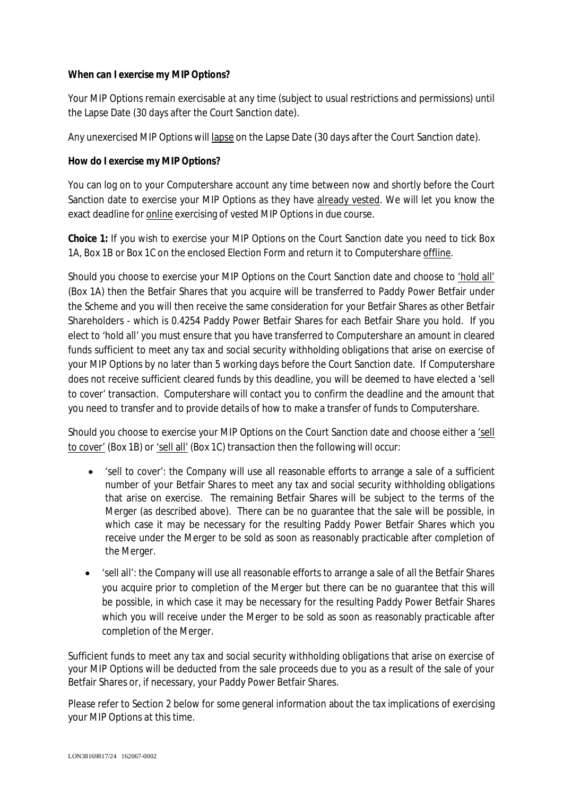**When can I exercise my MIP Options?**

Your MIP Options remain exercisable *at any time* (subject to usual restrictions and permissions) until the Lapse Date (30 days after the Court Sanction date).

Any unexercised MIP Options will lapse on the Lapse Date (30 days after the Court Sanction date).

**How do I exercise my MIP Options?**

You can log on to your Computershare account any time between now and shortly before the Court Sanction date to exercise your MIP Options as they have already vested. We will let you know the exact deadline for online exercising of vested MIP Options in due course.

**Choice 1:** If you wish to exercise your MIP Options on the Court Sanction date you need to tick Box 1A, Box 1B or Box 1C on the enclosed Election Form and return it to Computershare offline.

Should you choose to exercise your MIP Options on the Court Sanction date and choose to 'hold all' (Box 1A) then the Betfair Shares that you acquire will be transferred to Paddy Power Betfair under the Scheme and you will then receive the same consideration for your Betfair Shares as other Betfair Shareholders - which is 0.4254 Paddy Power Betfair Shares for each Betfair Share you hold. If you elect to 'hold all' you must ensure that you have transferred to Computershare an amount in cleared funds sufficient to meet any tax and social security withholding obligations that arise on exercise of your MIP Options by no later than 5 working days before the Court Sanction date. If Computershare does not receive sufficient cleared funds by this deadline, you will be deemed to have elected a 'sell to cover' transaction. Computershare will contact you to confirm the deadline and the amount that you need to transfer and to provide details of how to make a transfer of funds to Computershare.

Should you choose to exercise your MIP Options on the Court Sanction date and choose either a 'sell to cover' (Box 1B) or 'sell all' (Box 1C) transaction then the following will occur:

- · 'sell to cover': the Company will use all reasonable efforts to arrange a sale of a sufficient number of your Betfair Shares to meet any tax and social security withholding obligations that arise on exercise. The remaining Betfair Shares will be subject to the terms of the Merger (as described above). There can be no guarantee that the sale will be possible, in which case it may be necessary for the resulting Paddy Power Betfair Shares which you receive under the Merger to be sold as soon as reasonably practicable after completion of the Merger.
- · 'sell all': the Company will use all reasonable efforts to arrange a sale of all the Betfair Shares you acquire prior to completion of the Merger but there can be no guarantee that this will be possible, in which case it may be necessary for the resulting Paddy Power Betfair Shares which you will receive under the Merger to be sold as soon as reasonably practicable after completion of the Merger.

Sufficient funds to meet any tax and social security withholding obligations that arise on exercise of your MIP Options will be deducted from the sale proceeds due to you as a result of the sale of your Betfair Shares or, if necessary, your Paddy Power Betfair Shares.

Please refer to Section 2 below for some general information about the tax implications of exercising your MIP Options at this time.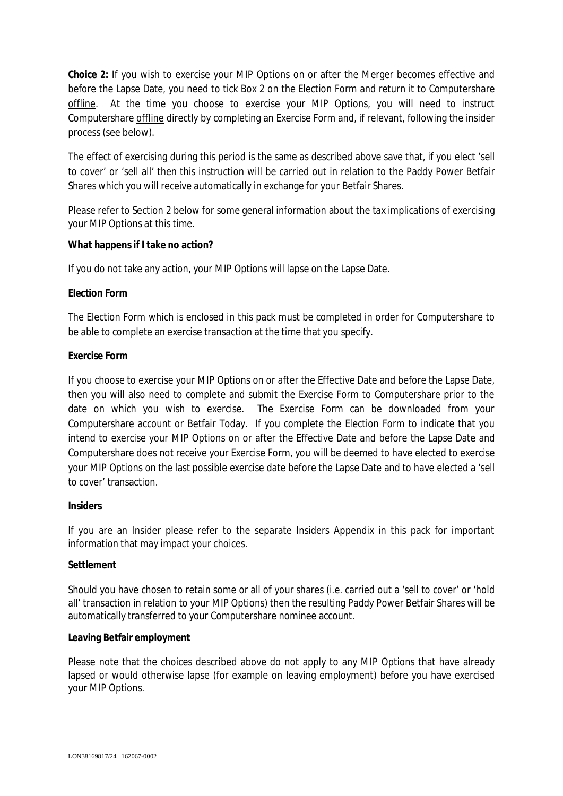**Choice 2:** If you wish to exercise your MIP Options on or after the Merger becomes effective and before the Lapse Date, you need to tick Box 2 on the Election Form and return it to Computershare offline. At the time you choose to exercise your MIP Options, you will need to instruct Computershare offline directly by completing an Exercise Form and, if relevant, following the insider process (see below).

The effect of exercising during this period is the same as described above save that, if you elect 'sell to cover' or 'sell all' then this instruction will be carried out in relation to the Paddy Power Betfair Shares which you will receive automatically in exchange for your Betfair Shares.

Please refer to Section 2 below for some general information about the tax implications of exercising your MIP Options at this time.

**What happens if I take no action?**

If you do not take any action, your MIP Options will lapse on the Lapse Date.

# **Election Form**

The Election Form which is enclosed in this pack must be completed in order for Computershare to be able to complete an exercise transaction at the time that you specify.

# **Exercise Form**

If you choose to exercise your MIP Options on or after the Effective Date and before the Lapse Date, then you will also need to complete and submit the Exercise Form to Computershare prior to the date on which you wish to exercise. The Exercise Form can be downloaded from your Computershare account or Betfair Today. If you complete the Election Form to indicate that you intend to exercise your MIP Options on or after the Effective Date and before the Lapse Date and Computershare does not receive your Exercise Form, you will be deemed to have elected to exercise your MIP Options on the last possible exercise date before the Lapse Date and to have elected a 'sell to cover' transaction.

# **Insiders**

If you are an Insider please refer to the separate Insiders Appendix in this pack for important information that may impact your choices.

# **Settlement**

Should you have chosen to retain some or all of your shares (i.e. carried out a 'sell to cover' or 'hold all' transaction in relation to your MIP Options) then the resulting Paddy Power Betfair Shares will be automatically transferred to your Computershare nominee account.

# **Leaving Betfair employment**

Please note that the choices described above do not apply to any MIP Options that have already lapsed or would otherwise lapse (for example on leaving employment) before you have exercised your MIP Options.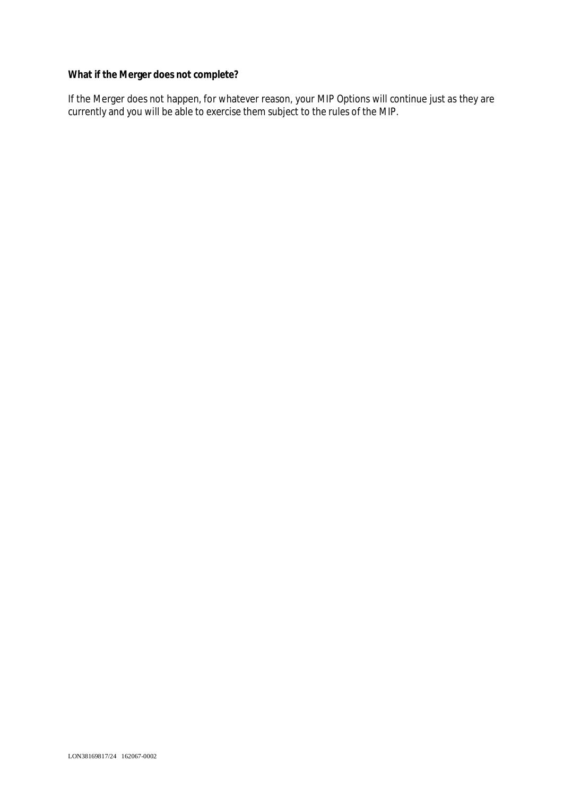**What if the Merger does not complete?**

If the Merger does not happen, for whatever reason, your MIP Options will continue just as they are currently and you will be able to exercise them subject to the rules of the MIP.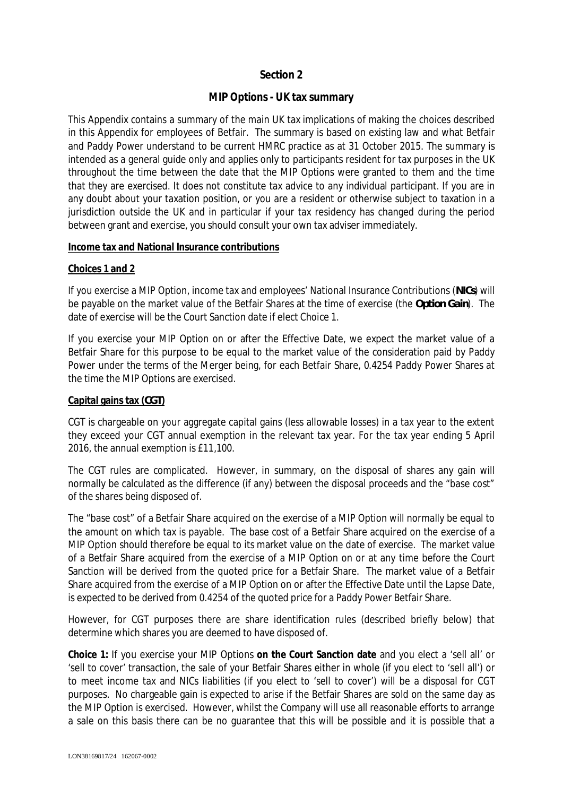# **Section 2**

# **MIP Options - UK tax summary**

This Appendix contains a summary of the main UK tax implications of making the choices described in this Appendix for employees of Betfair. The summary is based on existing law and what Betfair and Paddy Power understand to be current HMRC practice as at 31 October 2015. The summary is intended as a general guide only and applies only to participants resident for tax purposes in the UK throughout the time between the date that the MIP Options were granted to them and the time that they are exercised. It does not constitute tax advice to any individual participant. If you are in any doubt about your taxation position, or you are a resident or otherwise subject to taxation in a jurisdiction outside the UK and in particular if your tax residency has changed during the period between grant and exercise, you should consult your own tax adviser immediately.

### **Income tax and National Insurance contributions**

### **Choices 1 and 2**

If you exercise a MIP Option, income tax and employees' National Insurance Contributions (*NICs*) will be payable on the market value of the Betfair Shares at the time of exercise (the *Option Gain*). The date of exercise will be the Court Sanction date if elect Choice 1.

If you exercise your MIP Option on or after the Effective Date, we expect the market value of a Betfair Share for this purpose to be equal to the market value of the consideration paid by Paddy Power under the terms of the Merger being, for each Betfair Share, 0.4254 Paddy Power Shares at the time the MIP Options are exercised.

## **Capital gains tax (***CGT***)**

CGT is chargeable on your aggregate capital gains (less allowable losses) in a tax year to the extent they exceed your CGT annual exemption in the relevant tax year. For the tax year ending 5 April 2016, the annual exemption is £11,100.

The CGT rules are complicated. However, in summary, on the disposal of shares any gain will normally be calculated as the difference (if any) between the disposal proceeds and the "base cost" of the shares being disposed of.

The "base cost" of a Betfair Share acquired on the exercise of a MIP Option will normally be equal to the amount on which tax is payable. The base cost of a Betfair Share acquired on the exercise of a MIP Option should therefore be equal to its market value on the date of exercise. The market value of a Betfair Share acquired from the exercise of a MIP Option on or at any time before the Court Sanction will be derived from the quoted price for a Betfair Share. The market value of a Betfair Share acquired from the exercise of a MIP Option on or after the Effective Date until the Lapse Date, is expected to be derived from 0.4254 of the quoted price for a Paddy Power Betfair Share.

However, for CGT purposes there are share identification rules (described briefly below) that determine which shares you are deemed to have disposed of.

**Choice 1:** If you exercise your MIP Options **on the Court Sanction date** and you elect a 'sell all' or 'sell to cover' transaction, the sale of your Betfair Shares either in whole (if you elect to 'sell all') or to meet income tax and NICs liabilities (if you elect to 'sell to cover') will be a disposal for CGT purposes. No chargeable gain is expected to arise if the Betfair Shares are sold on the same day as the MIP Option is exercised. However, whilst the Company will use all reasonable efforts to arrange a sale on this basis there can be no guarantee that this will be possible and it is possible that a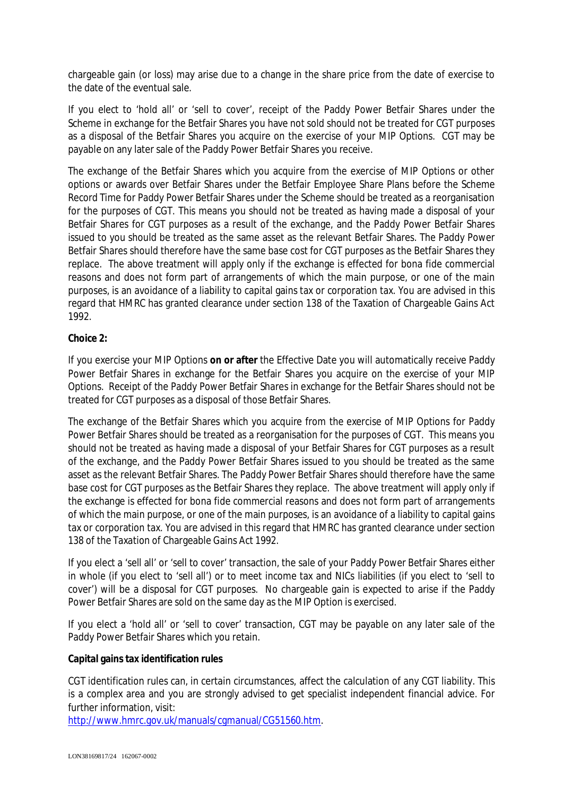chargeable gain (or loss) may arise due to a change in the share price from the date of exercise to the date of the eventual sale.

If you elect to 'hold all' or 'sell to cover', receipt of the Paddy Power Betfair Shares under the Scheme in exchange for the Betfair Shares you have not sold should not be treated for CGT purposes as a disposal of the Betfair Shares you acquire on the exercise of your MIP Options. CGT may be payable on any later sale of the Paddy Power Betfair Shares you receive.

The exchange of the Betfair Shares which you acquire from the exercise of MIP Options or other options or awards over Betfair Shares under the Betfair Employee Share Plans before the Scheme Record Time for Paddy Power Betfair Shares under the Scheme should be treated as a reorganisation for the purposes of CGT. This means you should not be treated as having made a disposal of your Betfair Shares for CGT purposes as a result of the exchange, and the Paddy Power Betfair Shares issued to you should be treated as the same asset as the relevant Betfair Shares. The Paddy Power Betfair Shares should therefore have the same base cost for CGT purposes as the Betfair Shares they replace. The above treatment will apply only if the exchange is effected for bona fide commercial reasons and does not form part of arrangements of which the main purpose, or one of the main purposes, is an avoidance of a liability to capital gains tax or corporation tax. You are advised in this regard that HMRC has granted clearance under section 138 of the Taxation of Chargeable Gains Act 1992.

**Choice 2:**

If you exercise your MIP Options **on or after** the Effective Date you will automatically receive Paddy Power Betfair Shares in exchange for the Betfair Shares you acquire on the exercise of your MIP Options. Receipt of the Paddy Power Betfair Shares in exchange for the Betfair Shares should not be treated for CGT purposes as a disposal of those Betfair Shares.

The exchange of the Betfair Shares which you acquire from the exercise of MIP Options for Paddy Power Betfair Shares should be treated as a reorganisation for the purposes of CGT. This means you should not be treated as having made a disposal of your Betfair Shares for CGT purposes as a result of the exchange, and the Paddy Power Betfair Shares issued to you should be treated as the same asset as the relevant Betfair Shares. The Paddy Power Betfair Shares should therefore have the same base cost for CGT purposes as the Betfair Shares they replace. The above treatment will apply only if the exchange is effected for bona fide commercial reasons and does not form part of arrangements of which the main purpose, or one of the main purposes, is an avoidance of a liability to capital gains tax or corporation tax. You are advised in this regard that HMRC has granted clearance under section 138 of the Taxation of Chargeable Gains Act 1992.

If you elect a 'sell all' or 'sell to cover' transaction, the sale of your Paddy Power Betfair Shares either in whole (if you elect to 'sell all') or to meet income tax and NICs liabilities (if you elect to 'sell to cover') will be a disposal for CGT purposes. No chargeable gain is expected to arise if the Paddy Power Betfair Shares are sold on the same day as the MIP Option is exercised.

If you elect a 'hold all' or 'sell to cover' transaction, CGT may be payable on any later sale of the Paddy Power Betfair Shares which you retain.

**Capital gains tax identification rules**

CGT identification rules can, in certain circumstances, affect the calculation of any CGT liability. This is a complex area and you are strongly advised to get specialist independent financial advice. For further information, visit:

http://www.hmrc.gov.uk/manuals/cgmanual/CG51560.htm.